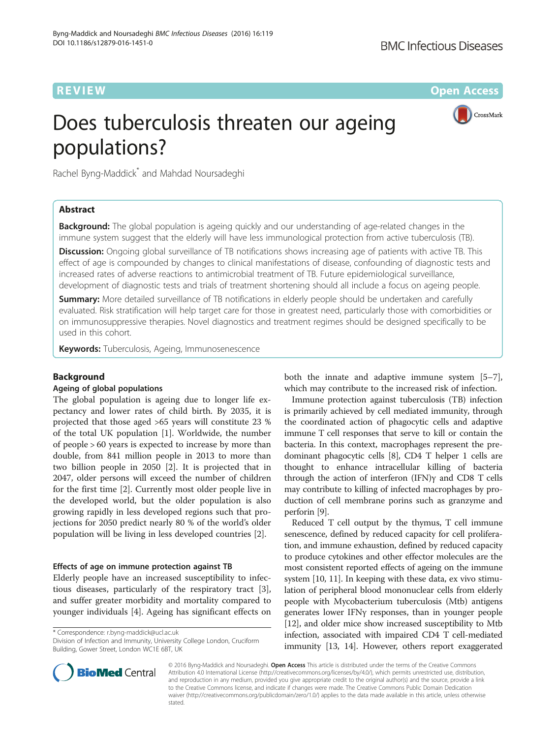**REVIEW CONSIDERING CONSIDERING CONSIDERING CONSIDERING CONSIDERING CONSIDERING CONSIDERING CONSIDERING CONSIDERING CONSIDERING CONSIDERING CONSIDERING CONSIDERING CONSIDERING CONSIDERING CONSIDERING CONSIDERING CONSIDER** 

CrossMark

# Does tuberculosis threaten our ageing populations?

Rachel Byng-Maddick\* and Mahdad Noursadeghi

# Abstract

**Background:** The global population is ageing quickly and our understanding of age-related changes in the immune system suggest that the elderly will have less immunological protection from active tuberculosis (TB).

**Discussion:** Ongoing global surveillance of TB notifications shows increasing age of patients with active TB. This effect of age is compounded by changes to clinical manifestations of disease, confounding of diagnostic tests and increased rates of adverse reactions to antimicrobial treatment of TB. Future epidemiological surveillance, development of diagnostic tests and trials of treatment shortening should all include a focus on ageing people.

**Summary:** More detailed surveillance of TB notifications in elderly people should be undertaken and carefully evaluated. Risk stratification will help target care for those in greatest need, particularly those with comorbidities or on immunosuppressive therapies. Novel diagnostics and treatment regimes should be designed specifically to be used in this cohort.

**Keywords:** Tuberculosis, Ageing, Immunosenescence

# Background

# Ageing of global populations

The global population is ageing due to longer life expectancy and lower rates of child birth. By 2035, it is projected that those aged >65 years will constitute 23 % of the total UK population [\[1](#page-3-0)]. Worldwide, the number of people > 60 years is expected to increase by more than double, from 841 million people in 2013 to more than two billion people in 2050 [\[2](#page-3-0)]. It is projected that in 2047, older persons will exceed the number of children for the first time [[2\]](#page-3-0). Currently most older people live in the developed world, but the older population is also growing rapidly in less developed regions such that projections for 2050 predict nearly 80 % of the world's older population will be living in less developed countries [\[2](#page-3-0)].

# Effects of age on immune protection against TB

Elderly people have an increased susceptibility to infectious diseases, particularly of the respiratory tract [\[3](#page-3-0)], and suffer greater morbidity and mortality compared to younger individuals [\[4](#page-3-0)]. Ageing has significant effects on

\* Correspondence: [r.byng-maddick@ucl.ac.uk](mailto:r.byng-maddick@ucl.ac.uk)

Division of Infection and Immunity, University College London, Cruciform Building, Gower Street, London WC1E 6BT, UK



Immune protection against tuberculosis (TB) infection is primarily achieved by cell mediated immunity, through the coordinated action of phagocytic cells and adaptive immune T cell responses that serve to kill or contain the bacteria. In this context, macrophages represent the predominant phagocytic cells [\[8](#page-3-0)], CD4 T helper 1 cells are thought to enhance intracellular killing of bacteria through the action of interferon (IFN)γ and CD8 T cells may contribute to killing of infected macrophages by production of cell membrane porins such as granzyme and perforin [[9](#page-3-0)].

Reduced T cell output by the thymus, T cell immune senescence, defined by reduced capacity for cell proliferation, and immune exhaustion, defined by reduced capacity to produce cytokines and other effector molecules are the most consistent reported effects of ageing on the immune system [[10, 11](#page-3-0)]. In keeping with these data, ex vivo stimulation of peripheral blood mononuclear cells from elderly people with Mycobacterium tuberculosis (Mtb) antigens generates lower IFNγ responses, than in younger people [[12](#page-3-0)], and older mice show increased susceptibility to Mtb infection, associated with impaired CD4 T cell-mediated immunity [\[13, 14](#page-3-0)]. However, others report exaggerated



© 2016 Byng-Maddick and Noursadeghi. Open Access This article is distributed under the terms of the Creative Commons Attribution 4.0 International License [\(http://creativecommons.org/licenses/by/4.0/](http://creativecommons.org/licenses/by/4.0/)), which permits unrestricted use, distribution, and reproduction in any medium, provided you give appropriate credit to the original author(s) and the source, provide a link to the Creative Commons license, and indicate if changes were made. The Creative Commons Public Domain Dedication waiver [\(http://creativecommons.org/publicdomain/zero/1.0/\)](http://creativecommons.org/publicdomain/zero/1.0/) applies to the data made available in this article, unless otherwise stated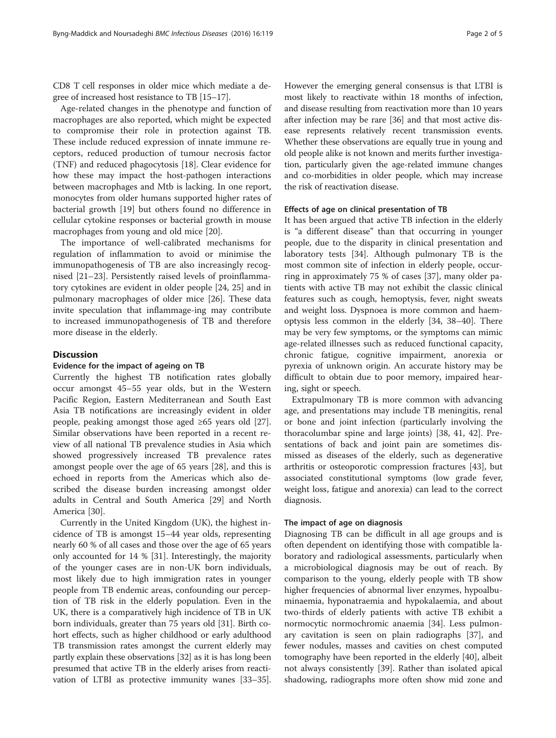CD8 T cell responses in older mice which mediate a degree of increased host resistance to TB [[15](#page-3-0)–[17\]](#page-3-0).

Age-related changes in the phenotype and function of macrophages are also reported, which might be expected to compromise their role in protection against TB. These include reduced expression of innate immune receptors, reduced production of tumour necrosis factor (TNF) and reduced phagocytosis [\[18](#page-3-0)]. Clear evidence for how these may impact the host-pathogen interactions between macrophages and Mtb is lacking. In one report, monocytes from older humans supported higher rates of bacterial growth [\[19](#page-3-0)] but others found no difference in cellular cytokine responses or bacterial growth in mouse macrophages from young and old mice [\[20](#page-3-0)].

The importance of well-calibrated mechanisms for regulation of inflammation to avoid or minimise the immunopathogenesis of TB are also increasingly recognised [[21](#page-3-0)–[23](#page-3-0)]. Persistently raised levels of proinflammatory cytokines are evident in older people [[24](#page-3-0), [25](#page-3-0)] and in pulmonary macrophages of older mice [[26\]](#page-3-0). These data invite speculation that inflammage-ing may contribute to increased immunopathogenesis of TB and therefore more disease in the elderly.

# **Discussion**

#### Evidence for the impact of ageing on TB

Currently the highest TB notification rates globally occur amongst 45–55 year olds, but in the Western Pacific Region, Eastern Mediterranean and South East Asia TB notifications are increasingly evident in older people, peaking amongst those aged ≥65 years old [\[27](#page-3-0)]. Similar observations have been reported in a recent review of all national TB prevalence studies in Asia which showed progressively increased TB prevalence rates amongst people over the age of 65 years [[28](#page-3-0)], and this is echoed in reports from the Americas which also described the disease burden increasing amongst older adults in Central and South America [\[29](#page-3-0)] and North America [\[30](#page-3-0)].

Currently in the United Kingdom (UK), the highest incidence of TB is amongst 15–44 year olds, representing nearly 60 % of all cases and those over the age of 65 years only accounted for 14 % [[31\]](#page-3-0). Interestingly, the majority of the younger cases are in non-UK born individuals, most likely due to high immigration rates in younger people from TB endemic areas, confounding our perception of TB risk in the elderly population. Even in the UK, there is a comparatively high incidence of TB in UK born individuals, greater than 75 years old [[31\]](#page-3-0). Birth cohort effects, such as higher childhood or early adulthood TB transmission rates amongst the current elderly may partly explain these observations [[32](#page-3-0)] as it is has long been presumed that active TB in the elderly arises from reactivation of LTBI as protective immunity wanes [\[33](#page-3-0)–[35](#page-3-0)].

However the emerging general consensus is that LTBI is most likely to reactivate within 18 months of infection, and disease resulting from reactivation more than 10 years after infection may be rare [\[36\]](#page-3-0) and that most active disease represents relatively recent transmission events. Whether these observations are equally true in young and old people alike is not known and merits further investigation, particularly given the age-related immune changes and co-morbidities in older people, which may increase the risk of reactivation disease.

### Effects of age on clinical presentation of TB

It has been argued that active TB infection in the elderly is "a different disease" than that occurring in younger people, due to the disparity in clinical presentation and laboratory tests [[34](#page-3-0)]. Although pulmonary TB is the most common site of infection in elderly people, occurring in approximately 75 % of cases [[37](#page-3-0)], many older patients with active TB may not exhibit the classic clinical features such as cough, hemoptysis, fever, night sweats and weight loss. Dyspnoea is more common and haemoptysis less common in the elderly [\[34](#page-3-0), [38](#page-3-0)–[40](#page-3-0)]. There may be very few symptoms, or the symptoms can mimic age-related illnesses such as reduced functional capacity, chronic fatigue, cognitive impairment, anorexia or pyrexia of unknown origin. An accurate history may be difficult to obtain due to poor memory, impaired hearing, sight or speech.

Extrapulmonary TB is more common with advancing age, and presentations may include TB meningitis, renal or bone and joint infection (particularly involving the thoracolumbar spine and large joints) [\[38](#page-3-0), [41](#page-3-0), [42](#page-3-0)]. Presentations of back and joint pain are sometimes dismissed as diseases of the elderly, such as degenerative arthritis or osteoporotic compression fractures [\[43\]](#page-4-0), but associated constitutional symptoms (low grade fever, weight loss, fatigue and anorexia) can lead to the correct diagnosis.

# The impact of age on diagnosis

Diagnosing TB can be difficult in all age groups and is often dependent on identifying those with compatible laboratory and radiological assessments, particularly when a microbiological diagnosis may be out of reach. By comparison to the young, elderly people with TB show higher frequencies of abnormal liver enzymes, hypoalbuminaemia, hyponatraemia and hypokalaemia, and about two-thirds of elderly patients with active TB exhibit a normocytic normochromic anaemia [\[34\]](#page-3-0). Less pulmonary cavitation is seen on plain radiographs [[37\]](#page-3-0), and fewer nodules, masses and cavities on chest computed tomography have been reported in the elderly [\[40](#page-3-0)], albeit not always consistently [[39\]](#page-3-0). Rather than isolated apical shadowing, radiographs more often show mid zone and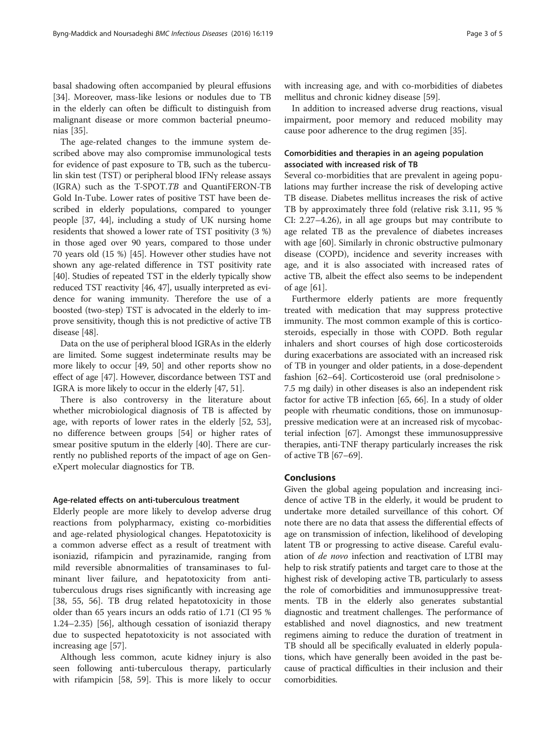basal shadowing often accompanied by pleural effusions [[34\]](#page-3-0). Moreover, mass-like lesions or nodules due to TB in the elderly can often be difficult to distinguish from malignant disease or more common bacterial pneumonias [\[35\]](#page-3-0).

The age-related changes to the immune system described above may also compromise immunological tests for evidence of past exposure to TB, such as the tuberculin skin test (TST) or peripheral blood IFNγ release assays (IGRA) such as the T-SPOT.TB and QuantiFERON-TB Gold In-Tube. Lower rates of positive TST have been described in elderly populations, compared to younger people [[37](#page-3-0), [44](#page-4-0)], including a study of UK nursing home residents that showed a lower rate of TST positivity (3 %) in those aged over 90 years, compared to those under 70 years old (15 %) [\[45\]](#page-4-0). However other studies have not shown any age-related difference in TST positivity rate [[40](#page-3-0)]. Studies of repeated TST in the elderly typically show reduced TST reactivity [[46](#page-4-0), [47\]](#page-4-0), usually interpreted as evidence for waning immunity. Therefore the use of a boosted (two-step) TST is advocated in the elderly to improve sensitivity, though this is not predictive of active TB disease [\[48](#page-4-0)].

Data on the use of peripheral blood IGRAs in the elderly are limited. Some suggest indeterminate results may be more likely to occur [[49](#page-4-0), [50\]](#page-4-0) and other reports show no effect of age [\[47\]](#page-4-0). However, discordance between TST and IGRA is more likely to occur in the elderly [[47](#page-4-0), [51\]](#page-4-0).

There is also controversy in the literature about whether microbiological diagnosis of TB is affected by age, with reports of lower rates in the elderly [\[52, 53](#page-4-0)], no difference between groups [[54\]](#page-4-0) or higher rates of smear positive sputum in the elderly [[40\]](#page-3-0). There are currently no published reports of the impact of age on GeneXpert molecular diagnostics for TB.

#### Age-related effects on anti-tuberculous treatment

Elderly people are more likely to develop adverse drug reactions from polypharmacy, existing co-morbidities and age-related physiological changes. Hepatotoxicity is a common adverse effect as a result of treatment with isoniazid, rifampicin and pyrazinamide, ranging from mild reversible abnormalities of transaminases to fulminant liver failure, and hepatotoxicity from antituberculous drugs rises significantly with increasing age [[38,](#page-3-0) [55](#page-4-0), [56\]](#page-4-0). TB drug related hepatotoxicity in those older than 65 years incurs an odds ratio of 1.71 (CI 95 % 1.24–2.35) [[56\]](#page-4-0), although cessation of isoniazid therapy due to suspected hepatotoxicity is not associated with increasing age [[57](#page-4-0)].

Although less common, acute kidney injury is also seen following anti-tuberculous therapy, particularly with rifampicin [[58, 59\]](#page-4-0). This is more likely to occur with increasing age, and with co-morbidities of diabetes mellitus and chronic kidney disease [[59](#page-4-0)].

In addition to increased adverse drug reactions, visual impairment, poor memory and reduced mobility may cause poor adherence to the drug regimen [[35\]](#page-3-0).

# Comorbidities and therapies in an ageing population associated with increased risk of TB

Several co-morbidities that are prevalent in ageing populations may further increase the risk of developing active TB disease. Diabetes mellitus increases the risk of active TB by approximately three fold (relative risk 3.11, 95 % CI: 2.27–4.26), in all age groups but may contribute to age related TB as the prevalence of diabetes increases with age [[60\]](#page-4-0). Similarly in chronic obstructive pulmonary disease (COPD), incidence and severity increases with age, and it is also associated with increased rates of active TB, albeit the effect also seems to be independent of age [\[61](#page-4-0)].

Furthermore elderly patients are more frequently treated with medication that may suppress protective immunity. The most common example of this is corticosteroids, especially in those with COPD. Both regular inhalers and short courses of high dose corticosteroids during exacerbations are associated with an increased risk of TB in younger and older patients, in a dose-dependent fashion [\[62](#page-4-0)–[64](#page-4-0)]. Corticosteroid use (oral prednisolone > 7.5 mg daily) in other diseases is also an independent risk factor for active TB infection [\[65, 66\]](#page-4-0). In a study of older people with rheumatic conditions, those on immunosuppressive medication were at an increased risk of mycobacterial infection [[67](#page-4-0)]. Amongst these immunosuppressive therapies, anti-TNF therapy particularly increases the risk of active TB [\[67](#page-4-0)–[69](#page-4-0)].

# Conclusions

Given the global ageing population and increasing incidence of active TB in the elderly, it would be prudent to undertake more detailed surveillance of this cohort. Of note there are no data that assess the differential effects of age on transmission of infection, likelihood of developing latent TB or progressing to active disease. Careful evaluation of *de novo* infection and reactivation of LTBI may help to risk stratify patients and target care to those at the highest risk of developing active TB, particularly to assess the role of comorbidities and immunosuppressive treatments. TB in the elderly also generates substantial diagnostic and treatment challenges. The performance of established and novel diagnostics, and new treatment regimens aiming to reduce the duration of treatment in TB should all be specifically evaluated in elderly populations, which have generally been avoided in the past because of practical difficulties in their inclusion and their comorbidities.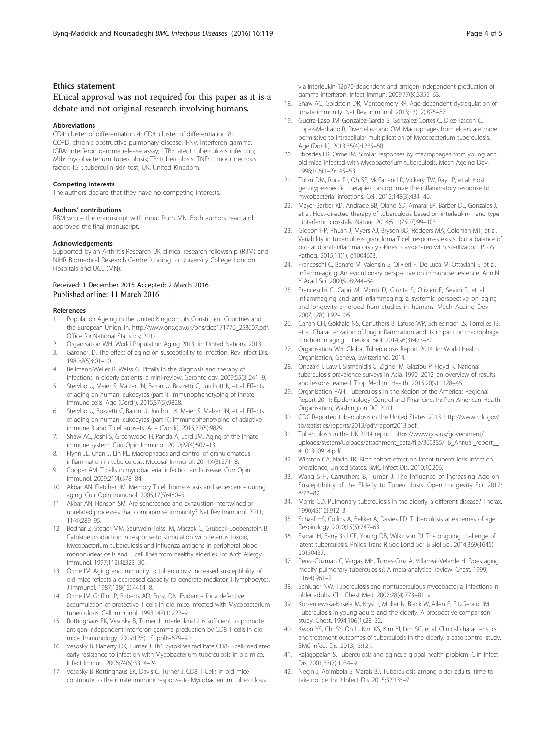# <span id="page-3-0"></span>Ethics statement

Ethical approval was not required for this paper as it is a debate and not original research involving humans.

#### Abbreviations

CD4: cluster of differentiation 4; CD8: cluster of differentiation 8; COPD: chronic obstructive pulmonary disease; IFNγ: interferon gamma; IGRA: interferon gamma release assay; LTBI: latent tuberculosis infection; Mtb: mycobacterium tuberculosis; TB: tuberculosis; TNF: tumour necrosis factor; TST: tuberculin skin test; UK: United Kingdom.

#### Competing interests

The authors declare that they have no competing interests.

#### Authors' contributions

RBM wrote the manuscript with input from MN. Both authors read and approved the final manuscript.

#### Acknowledgements

Supported by an Arthritis Research UK clinical research fellowship (RBM) and NIHR Biomedical Research Centre funding to University College London Hospitals and UCL (MN).

# Received: 1 December 2015 Accepted: 2 March 2016 Published online: 11 March 2016

#### References

- 1. Population Ageing in the United Kingdom, its Constituent Countries and the European Union. In. [http://www.ons.gov.uk/ons/dcp171776\\_258607.pdf](http://www.ons.gov.uk/ons/dcp171776_258607.pdf): Office for National Statistics; 2012.
- 2. Organisation WH. World Population Aging 2013. In: United Nations. 2013.
- 3. Gardner ID. The effect of aging on susceptibility to infection. Rev Infect Dis. 1980;2(5):801–10.
- 4. Bellmann-Weiler R, Weiss G. Pitfalls in the diagnosis and therapy of infections in elderly patients–a mini-review. Gerontology. 2009;55(3):241–9.
- 5. Stervbo U, Meier S, Malzer JN, Baron U, Bozzetti C, Jurchott K, et al. Effects of aging on human leukocytes (part I): immunophenotyping of innate immune cells. Age (Dordr). 2015;37(5):9828.
- 6. Stervbo U, Bozzetti C, Baron U, Jurchott K, Meier S, Malzer JN, et al. Effects of aging on human leukocytes (part II): immunophenotyping of adaptive immune B and T cell subsets. Age (Dordr). 2015;37(5):9829.
- 7. Shaw AC, Joshi S, Greenwood H, Panda A, Lord JM. Aging of the innate immune system. Curr Opin Immunol. 2010;22(4):507–13.
- 8. Flynn JL, Chan J, Lin PL. Macrophages and control of granulomatous inflammation in tuberculosis. Mucosal Immunol. 2011;4(3):271–8.
- 9. Cooper AM. T cells in mycobacterial infection and disease. Curr Opin Immunol. 2009;21(4):378–84.
- 10. Akbar AN, Fletcher JM. Memory T cell homeostasis and senescence during aging. Curr Opin Immunol. 2005;17(5):480–5.
- 11. Akbar AN, Henson SM. Are senescence and exhaustion intertwined or unrelated processes that compromise immunity? Nat Rev Immunol. 2011; 11(4):289–95.
- 12. Bodnar Z, Steger MM, Saurwein-Teissl M, Maczek C, Grubeck-Loebenstein B. Cytokine production in response to stimulation with tetanus toxoid, Mycobacterium tuberculosis and influenza antigens in peripheral blood mononuclear cells and T cell lines from healthy elderlies. Int Arch Allergy Immunol. 1997;112(4):323–30.
- 13. Orme IM. Aging and immunity to tuberculosis: increased susceptibility of old mice reflects a decreased capacity to generate mediator T lymphocytes. J Immunol. 1987;138(12):4414–8.
- 14. Orme IM, Griffin JP, Roberts AD, Ernst DN. Evidence for a defective accumulation of protective T cells in old mice infected with Mycobacterium tuberculosis. Cell Immunol. 1993;147(1):222–9.
- 15. Rottinghaus EK, Vesosky B, Turner J. Interleukin-12 is sufficient to promote antigen-independent interferon-gamma production by CD8 T cells in old mice. Immunology. 2009;128(1 Suppl):e679–90.
- 16. Vesosky B, Flaherty DK, Turner J. Th1 cytokines facilitate CD8-T-cell-mediated early resistance to infection with Mycobacterium tuberculosis in old mice. Infect Immun. 2006;74(6):3314–24.
- 17. Vesosky B, Rottinghaus EK, Davis C, Turner J. CD8 T Cells in old mice contribute to the innate immune response to Mycobacterium tuberculosis

via interleukin-12p70-dependent and antigen-independent production of gamma interferon. Infect Immun. 2009;77(8):3355–63.

- 18. Shaw AC, Goldstein DR, Montgomery RR, Age-dependent dysregulation of innate immunity. Nat Rev Immunol. 2013;13(12):875–87.
- 19. Guerra-Laso JM, Gonzalez-Garcia S, Gonzalez-Cortes C, Diez-Tascon C, Lopez-Medrano R, Rivero-Lezcano OM. Macrophages from elders are more permissive to intracellular multiplication of Mycobacterium tuberculosis. Age (Dordr). 2013;35(4):1235–50.
- 20. Rhoades ER, Orme IM. Similar responses by macrophages from young and old mice infected with Mycobacterium tuberculosis. Mech Ageing Dev. 1998;106(1–2):145–53.
- 21. Tobin DM, Roca FJ, Oh SF, McFarland R, Vickery TW, Ray JP, et al. Host genotype-specific therapies can optimize the inflammatory response to mycobacterial infections. Cell. 2012;148(3):434–46.
- 22. Mayer-Barber KD, Andrade BB, Oland SD, Amaral EP, Barber DL, Gonzales J, et al. Host-directed therapy of tuberculosis based on interleukin-1 and type I interferon crosstalk. Nature. 2014;511(7507):99–103.
- 23. Gideon HP, Phuah J, Myers AJ, Bryson BD, Rodgers MA, Coleman MT, et al. Variability in tuberculosis granuloma T cell responses exists, but a balance of pro- and anti-inflammatory cytokines is associated with sterilization. PLoS Pathog. 2015;11(1), e1004603.
- 24. Franceschi C, Bonafe M, Valensin S, Olivieri F, De Luca M, Ottaviani E, et al. Inflamm-aging. An evolutionary perspective on immunosenescence. Ann N Y Acad Sci. 2000;908:244–54.
- 25. Franceschi C, Capri M, Monti D, Giunta S, Olivieri F, Sevini F, et al. Inflammaging and anti-inflammaging: a systemic perspective on aging and longevity emerged from studies in humans. Mech Ageing Dev. 2007;128(1):92–105.
- 26. Canan CH, Gokhale NS, Carruthers B, Lafuse WP, Schlesinger LS, Torrelles JB, et al. Characterization of lung inflammation and its impact on macrophage function in aging. J Leukoc Biol. 2014;96(3):473–80.
- 27. Organisation WH. Global Tuberculosis Report 2014. In: World Health Organisation, Geneva, Switzerland. 2014.
- 28. Onozaki I, Law I, Sismanidis C, Zignol M, Glaziou P, Floyd K. National tuberculosis prevalence surveys in Asia, 1990–2012: an overview of results and lessons learned. Trop Med Int Health. 2015;20(9):1128–45.
- 29. Organisation PAH. Tuberculosis in the Region of the Americas Regional Report 2011: Epidemiology, Control and Financing. In: Pan American Health Organisation, Washington DC. 2011.
- 30. CDC Reported tuberculosis in the United States, 2013. [http://www.cdc.gov/](http://www.cdc.gov/tb/statistics/reports/2013/pdf/report2013.pdf) [tb/statistics/reports/2013/pdf/report2013.pdf](http://www.cdc.gov/tb/statistics/reports/2013/pdf/report2013.pdf).
- 31. Tuberculosis in the UK 2014 report. [https://www.gov.uk/government/](https://www.gov.uk/government/uploads/system/uploads/attachment_data/file/360335/TB_Annual_report__4_0_300914.pdf) [uploads/system/uploads/attachment\\_data/file/360335/TB\\_Annual\\_report\\_\\_](https://www.gov.uk/government/uploads/system/uploads/attachment_data/file/360335/TB_Annual_report__4_0_300914.pdf) [4\\_0\\_300914.pdf.](https://www.gov.uk/government/uploads/system/uploads/attachment_data/file/360335/TB_Annual_report__4_0_300914.pdf)
- 32. Winston CA, Navin TR. Birth cohort effect on latent tuberculosis infection prevalence, United States. BMC Infect Dis. 2010;10:206.
- 33. Wang S-H, Carruthers B, Turner J. The Influence of Increasing Age on Susceptibility of the Elderly to Tuberculosis. Open Longevity Sci. 2012; 6:73–82.
- 34. Morris CD. Pulmonary tuberculosis in the elderly: a different disease? Thorax. 1990;45(12):912–3.
- 35. Schaaf HS, Collins A, Bekker A, Davies PD. Tuberculosis at extremes of age. Respirology. 2010;15(5):747–63.
- 36. Esmail H, Barry 3rd CE, Young DB, Wilkinson RJ. The ongoing challenge of latent tuberculosis. Philos Trans R Soc Lond Ser B Biol Sci. 2014;369(1645): 20130437.
- 37. Perez-Guzman C, Vargas MH, Torres-Cruz A, Villarreal-Velarde H. Does aging modify pulmonary tuberculosis?: A meta-analytical review. Chest. 1999; 116(4):961–7.
- 38. Schluger NW. Tuberculosis and nontuberculous mycobacterial infections in older adults. Clin Chest Med. 2007;28(4):773–81. vi.
- 39. Korzeniewska-Kosela M, Krysl J, Muller N, Black W, Allen E, FitzGerald JM. Tuberculosis in young adults and the elderly. A prospective comparison study. Chest. 1994;106(1):28–32.
- 40. Kwon YS, Chi SY, Oh IJ, Kim KS, Kim YI, Lim SC, et al. Clinical characteristics and treatment outcomes of tuberculosis in the elderly: a case control study. BMC Infect Dis. 2013;13:121.
- 41. Rajagopalan S. Tuberculosis and aging: a global health problem. Clin Infect Dis. 2001;33(7):1034–9.
- 42. Negin J, Abimbola S, Marais BJ. Tuberculosis among older adults–time to take notice. Int J Infect Dis. 2015;32:135–7.